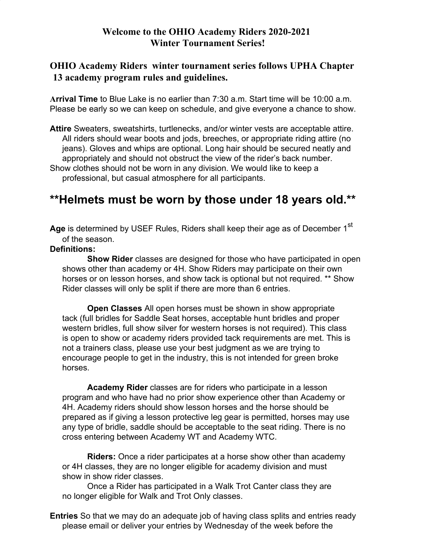## **Welcome to the OHIO Academy Riders 2020-2021 Winter Tournament Series!**

## **OHIO Academy Riders winter tournament series follows UPHA Chapter 13 academy program rules and guidelines.**

**Arrival Time** to Blue Lake is no earlier than 7:30 a.m. Start time will be 10:00 a.m. Please be early so we can keep on schedule, and give everyone a chance to show.

**Attire** Sweaters, sweatshirts, turtlenecks, and/or winter vests are acceptable attire. All riders should wear boots and jods, breeches, or appropriate riding attire (no jeans). Gloves and whips are optional. Long hair should be secured neatly and appropriately and should not obstruct the view of the rider's back number. Show clothes should not be worn in any division. We would like to keep a professional, but casual atmosphere for all participants.

# **\*\*Helmets must be worn by those under 18 years old.\*\***

Age is determined by USEF Rules, Riders shall keep their age as of December 1<sup>st</sup> of the season.

#### **Definitions:**

**Show Rider** classes are designed for those who have participated in open shows other than academy or 4H. Show Riders may participate on their own horses or on lesson horses, and show tack is optional but not required. \*\* Show Rider classes will only be split if there are more than 6 entries.

**Open Classes** All open horses must be shown in show appropriate tack (full bridles for Saddle Seat horses, acceptable hunt bridles and proper western bridles, full show silver for western horses is not required). This class is open to show or academy riders provided tack requirements are met. This is not a trainers class, please use your best judgment as we are trying to encourage people to get in the industry, this is not intended for green broke horses.

**Academy Rider** classes are for riders who participate in a lesson program and who have had no prior show experience other than Academy or 4H. Academy riders should show lesson horses and the horse should be prepared as if giving a lesson protective leg gear is permitted, horses may use any type of bridle, saddle should be acceptable to the seat riding. There is no cross entering between Academy WT and Academy WTC.

**Riders:** Once a rider participates at a horse show other than academy or 4H classes, they are no longer eligible for academy division and must show in show rider classes.

Once a Rider has participated in a Walk Trot Canter class they are no longer eligible for Walk and Trot Only classes.

**Entries** So that we may do an adequate job of having class splits and entries ready please email or deliver your entries by Wednesday of the week before the